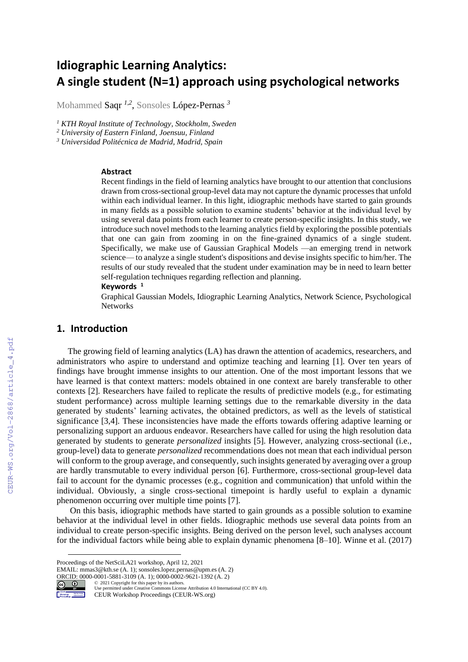# **Idiographic Learning Analytics: A single student (N=1) approach using psychological networks**

Mohammed Saqr *1,2* , Sonsoles López-Pernas *<sup>3</sup>*

*<sup>1</sup> KTH Royal Institute of Technology, Stockholm, Sweden*

*<sup>2</sup> University of Eastern Finland, Joensuu, Finland*

*<sup>3</sup> Universidad Politécnica de Madrid, Madrid, Spain*

#### **Abstract**

Recent findings in the field of learning analytics have brought to our attention that conclusions drawn from cross-sectional group-level data may not capture the dynamic processes that unfold within each individual learner. In this light, idiographic methods have started to gain grounds in many fields as a possible solution to examine students' behavior at the individual level by using several data points from each learner to create person-specific insights. In this study, we introduce such novel methods to the learning analytics field by exploring the possible potentials that one can gain from zooming in on the fine-grained dynamics of a single student. Specifically, we make use of Gaussian Graphical Models —an emerging trend in network science— to analyze a single student's dispositions and devise insights specific to him/her. The results of our study revealed that the student under examination may be in need to learn better self-regulation techniques regarding reflection and planning.

### **Keywords <sup>1</sup>**

Graphical Gaussian Models, Idiographic Learning Analytics, Network Science, Psychological **Networks** 

## **1. Introduction**

The growing field of learning analytics (LA) has drawn the attention of academics, researchers, and administrators who aspire to understand and optimize teaching and learning [1]. Over ten years of findings have brought immense insights to our attention. One of the most important lessons that we have learned is that context matters: models obtained in one context are barely transferable to other contexts [2]. Researchers have failed to replicate the results of predictive models (e.g., for estimating student performance) across multiple learning settings due to the remarkable diversity in the data generated by students' learning activates, the obtained predictors, as well as the levels of statistical significance [3,4]. These inconsistencies have made the efforts towards offering adaptive learning or personalizing support an arduous endeavor. Researchers have called for using the high resolution data generated by students to generate *personalized* insights [5]. However, analyzing cross-sectional (i.e., group-level) data to generate *personalized* recommendations does not mean that each individual person will conform to the group average, and consequently, such insights generated by averaging over a group are hardly transmutable to every individual person [6]. Furthermore, cross-sectional group-level data fail to account for the dynamic processes (e.g., cognition and communication) that unfold within the individual. Obviously, a single cross-sectional timepoint is hardly useful to explain a dynamic phenomenon occurring over multiple time points [7].

On this basis, idiographic methods have started to gain grounds as a possible solution to examine behavior at the individual level in other fields. Idiographic methods use several data points from an individual to create person-specific insights. Being derived on the person level, such analyses account for the individual factors while being able to explain dynamic phenomena [8–10]. Winne et al. (2017)

EMAIL: mmas3@kth.se (A. 1); sonsoles.lopez.pernas@upm.es (A. 2)

ORCID: 0000-0001-5881-3109 (A. 1); 0000-0002-9621-1392 (A. 2)<br>  $\bigodot$  0  $\bigodot$  2021 Copyright for this paper by its authors.



©️ 2021 Copyright for this paper by its authors. Use permitted under Creative Commons License Attribution 4.0 International (CC BY 4.0). CEUR Workshop Proceedings (CEUR-WS.org)

Proceedings of the NetSciLA21 workshop, April 12, 2021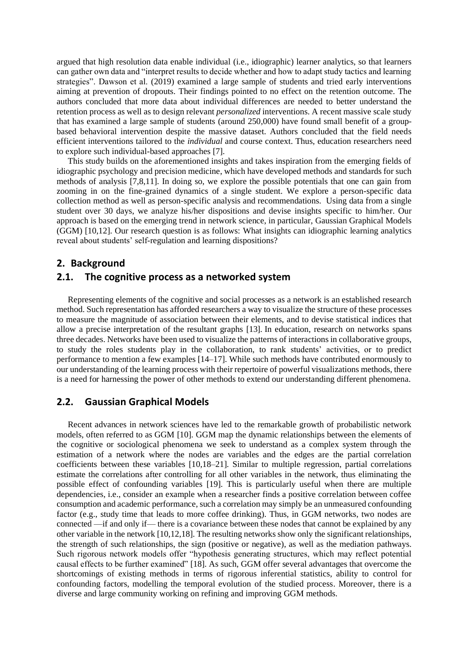argued that high resolution data enable individual (i.e., idiographic) learner analytics, so that learners can gather own data and "interpret results to decide whether and how to adapt study tactics and learning strategies". Dawson et al. (2019) examined a large sample of students and tried early interventions aiming at prevention of dropouts. Their findings pointed to no effect on the retention outcome. The authors concluded that more data about individual differences are needed to better understand the retention process as well as to design relevant *personalized* interventions. A recent massive scale study that has examined a large sample of students (around 250,000) have found small benefit of a groupbased behavioral intervention despite the massive dataset. Authors concluded that the field needs efficient interventions tailored to the *individual* and course context. Thus, education researchers need to explore such individual-based approaches [7].

This study builds on the aforementioned insights and takes inspiration from the emerging fields of idiographic psychology and precision medicine, which have developed methods and standards for such methods of analysis [7,8,11]. In doing so, we explore the possible potentials that one can gain from zooming in on the fine-grained dynamics of a single student. We explore a person-specific data collection method as well as person-specific analysis and recommendations. Using data from a single student over 30 days, we analyze his/her dispositions and devise insights specific to him/her. Our approach is based on the emerging trend in network science, in particular, Gaussian Graphical Models (GGM) [10,12]. Our research question is as follows: What insights can idiographic learning analytics reveal about students' self-regulation and learning dispositions?

## **2. Background**

## **2.1. The cognitive process as a networked system**

Representing elements of the cognitive and social processes as a network is an established research method. Such representation has afforded researchers a way to visualize the structure of these processes to measure the magnitude of association between their elements, and to devise statistical indices that allow a precise interpretation of the resultant graphs [13]. In education, research on networks spans three decades. Networks have been used to visualize the patterns of interactions in collaborative groups, to study the roles students play in the collaboration, to rank students' activities, or to predict performance to mention a few examples [14–17]. While such methods have contributed enormously to our understanding of the learning process with their repertoire of powerful visualizations methods, there is a need for harnessing the power of other methods to extend our understanding different phenomena.

# **2.2. Gaussian Graphical Models**

Recent advances in network sciences have led to the remarkable growth of probabilistic network models, often referred to as GGM [10]. GGM map the dynamic relationships between the elements of the cognitive or sociological phenomena we seek to understand as a complex system through the estimation of a network where the nodes are variables and the edges are the partial correlation coefficients between these variables [10,18–21]. Similar to multiple regression, partial correlations estimate the correlations after controlling for all other variables in the network, thus eliminating the possible effect of confounding variables [19]. This is particularly useful when there are multiple dependencies, i.e., consider an example when a researcher finds a positive correlation between coffee consumption and academic performance, such a correlation may simply be an unmeasured confounding factor (e.g., study time that leads to more coffee drinking). Thus, in GGM networks, two nodes are connected —if and only if— there is a covariance between these nodes that cannot be explained by any other variable in the network [10,12,18]. The resulting networks show only the significant relationships, the strength of such relationships, the sign (positive or negative), as well as the mediation pathways. Such rigorous network models offer "hypothesis generating structures, which may reflect potential causal effects to be further examined" [18]. As such, GGM offer several advantages that overcome the shortcomings of existing methods in terms of rigorous inferential statistics, ability to control for confounding factors, modelling the temporal evolution of the studied process. Moreover, there is a diverse and large community working on refining and improving GGM methods.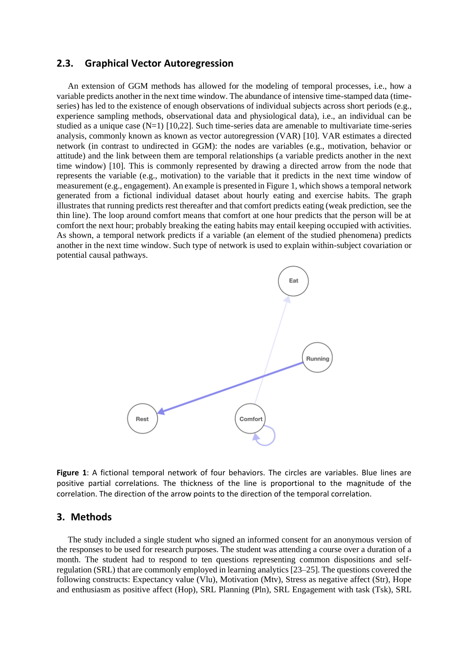## **2.3. Graphical Vector Autoregression**

An extension of GGM methods has allowed for the modeling of temporal processes, i.e., how a variable predicts another in the next time window. The abundance of intensive time-stamped data (timeseries) has led to the existence of enough observations of individual subjects across short periods (e.g., experience sampling methods, observational data and physiological data), i.e., an individual can be studied as a unique case (N=1) [10,22]. Such time-series data are amenable to multivariate time-series analysis, commonly known as known as vector autoregression (VAR) [10]. VAR estimates a directed network (in contrast to undirected in GGM): the nodes are variables (e.g., motivation, behavior or attitude) and the link between them are temporal relationships (a variable predicts another in the next time window) [10]. This is commonly represented by drawing a directed arrow from the node that represents the variable (e.g., motivation) to the variable that it predicts in the next time window of measurement (e.g., engagement). An example is presented in Figure 1, which shows a temporal network generated from a fictional individual dataset about hourly eating and exercise habits. The graph illustrates that running predicts rest thereafter and that comfort predicts eating (weak prediction, see the thin line). The loop around comfort means that comfort at one hour predicts that the person will be at comfort the next hour; probably breaking the eating habits may entail keeping occupied with activities. As shown, a temporal network predicts if a variable (an element of the studied phenomena) predicts another in the next time window. Such type of network is used to explain within-subject covariation or potential causal pathways.



**Figure 1**: A fictional temporal network of four behaviors. The circles are variables. Blue lines are positive partial correlations. The thickness of the line is proportional to the magnitude of the correlation. The direction of the arrow points to the direction of the temporal correlation.

## **3. Methods**

The study included a single student who signed an informed consent for an anonymous version of the responses to be used for research purposes. The student was attending a course over a duration of a month. The student had to respond to ten questions representing common dispositions and selfregulation (SRL) that are commonly employed in learning analytics [23–25]. The questions covered the following constructs: Expectancy value (Vlu), Motivation (Mtv), Stress as negative affect (Str), Hope and enthusiasm as positive affect (Hop), SRL Planning (Pln), SRL Engagement with task (Tsk), SRL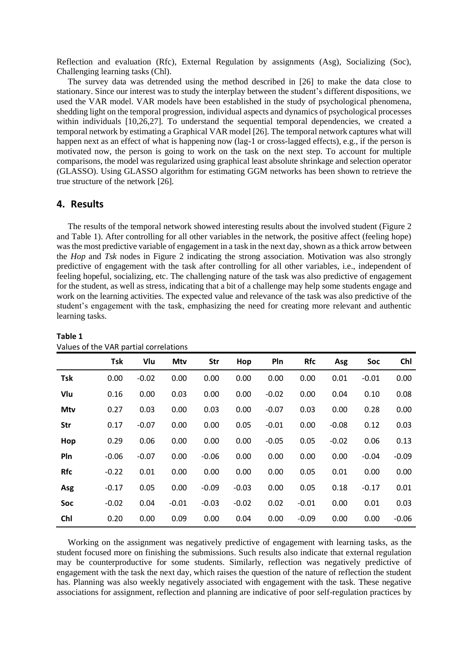Reflection and evaluation (Rfc), External Regulation by assignments (Asg), Socializing (Soc), Challenging learning tasks (Chl).

The survey data was detrended using the method described in [26] to make the data close to stationary. Since our interest was to study the interplay between the student's different dispositions, we used the VAR model. VAR models have been established in the study of psychological phenomena, shedding light on the temporal progression, individual aspects and dynamics of psychological processes within individuals [10,26,27]. To understand the sequential temporal dependencies, we created a temporal network by estimating a Graphical VAR model [26]. The temporal network captures what will happen next as an effect of what is happening now (lag-1 or cross-lagged effects), e.g., if the person is motivated now, the person is going to work on the task on the next step. To account for multiple comparisons, the model was regularized using graphical least absolute shrinkage and selection operator (GLASSO). Using GLASSO algorithm for estimating GGM networks has been shown to retrieve the true structure of the network [26].

## **4. Results**

**Table 1**

The results of the temporal network showed interesting results about the involved student (Figure 2 and Table 1). After controlling for all other variables in the network, the positive affect (feeling hope) was the most predictive variable of engagement in a task in the next day, shown as a thick arrow between the *Hop* and *Tsk* nodes in Figure 2 indicating the strong association. Motivation was also strongly predictive of engagement with the task after controlling for all other variables, i.e., independent of feeling hopeful, socializing, etc. The challenging nature of the task was also predictive of engagement for the student, as well as stress, indicating that a bit of a challenge may help some students engage and work on the learning activities. The expected value and relevance of the task was also predictive of the student's engagement with the task, emphasizing the need for creating more relevant and authentic learning tasks.

|            | Tsk     | Vlu     | Mtv     | <b>Str</b> | Hop     | Pln     | <b>Rfc</b> | Asg     | Soc     | Chl     |
|------------|---------|---------|---------|------------|---------|---------|------------|---------|---------|---------|
| <b>Tsk</b> | 0.00    | $-0.02$ | 0.00    | 0.00       | 0.00    | 0.00    | 0.00       | 0.01    | $-0.01$ | 0.00    |
| Vlu        | 0.16    | 0.00    | 0.03    | 0.00       | 0.00    | $-0.02$ | 0.00       | 0.04    | 0.10    | 0.08    |
| Mtv        | 0.27    | 0.03    | 0.00    | 0.03       | 0.00    | $-0.07$ | 0.03       | 0.00    | 0.28    | 0.00    |
| <b>Str</b> | 0.17    | $-0.07$ | 0.00    | 0.00       | 0.05    | $-0.01$ | 0.00       | $-0.08$ | 0.12    | 0.03    |
| Hop        | 0.29    | 0.06    | 0.00    | 0.00       | 0.00    | $-0.05$ | 0.05       | $-0.02$ | 0.06    | 0.13    |
| Pln        | $-0.06$ | $-0.07$ | 0.00    | $-0.06$    | 0.00    | 0.00    | 0.00       | 0.00    | $-0.04$ | $-0.09$ |
| <b>Rfc</b> | $-0.22$ | 0.01    | 0.00    | 0.00       | 0.00    | 0.00    | 0.05       | 0.01    | 0.00    | 0.00    |
| Asg        | $-0.17$ | 0.05    | 0.00    | $-0.09$    | $-0.03$ | 0.00    | 0.05       | 0.18    | $-0.17$ | 0.01    |
| Soc        | $-0.02$ | 0.04    | $-0.01$ | $-0.03$    | $-0.02$ | 0.02    | $-0.01$    | 0.00    | 0.01    | 0.03    |
| Chl        | 0.20    | 0.00    | 0.09    | 0.00       | 0.04    | 0.00    | $-0.09$    | 0.00    | 0.00    | $-0.06$ |

## Values of the VAR partial correlations

Working on the assignment was negatively predictive of engagement with learning tasks, as the student focused more on finishing the submissions. Such results also indicate that external regulation may be counterproductive for some students. Similarly, reflection was negatively predictive of engagement with the task the next day, which raises the question of the nature of reflection the student has. Planning was also weekly negatively associated with engagement with the task. These negative associations for assignment, reflection and planning are indicative of poor self-regulation practices by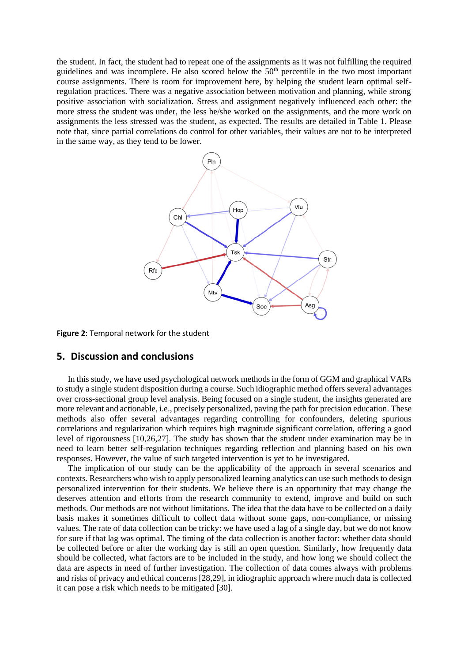the student. In fact, the student had to repeat one of the assignments as it was not fulfilling the required guidelines and was incomplete. He also scored below the 50<sup>th</sup> percentile in the two most important course assignments. There is room for improvement here, by helping the student learn optimal selfregulation practices. There was a negative association between motivation and planning, while strong positive association with socialization. Stress and assignment negatively influenced each other: the more stress the student was under, the less he/she worked on the assignments, and the more work on assignments the less stressed was the student, as expected. The results are detailed in Table 1. Please note that, since partial correlations do control for other variables, their values are not to be interpreted in the same way, as they tend to be lower.



**Figure 2**: Temporal network for the student

## **5. Discussion and conclusions**

In this study, we have used psychological network methods in the form of GGM and graphical VARs to study a single student disposition during a course. Such idiographic method offers several advantages over cross-sectional group level analysis. Being focused on a single student, the insights generated are more relevant and actionable, i.e., precisely personalized, paving the path for precision education. These methods also offer several advantages regarding controlling for confounders, deleting spurious correlations and regularization which requires high magnitude significant correlation, offering a good level of rigorousness [10,26,27]. The study has shown that the student under examination may be in need to learn better self-regulation techniques regarding reflection and planning based on his own responses. However, the value of such targeted intervention is yet to be investigated.

The implication of our study can be the applicability of the approach in several scenarios and contexts. Researchers who wish to apply personalized learning analytics can use such methods to design personalized intervention for their students. We believe there is an opportunity that may change the deserves attention and efforts from the research community to extend, improve and build on such methods. Our methods are not without limitations. The idea that the data have to be collected on a daily basis makes it sometimes difficult to collect data without some gaps, non-compliance, or missing values. The rate of data collection can be tricky: we have used a lag of a single day, but we do not know for sure if that lag was optimal. The timing of the data collection is another factor: whether data should be collected before or after the working day is still an open question. Similarly, how frequently data should be collected, what factors are to be included in the study, and how long we should collect the data are aspects in need of further investigation. The collection of data comes always with problems and risks of privacy and ethical concerns [28,29], in idiographic approach where much data is collected it can pose a risk which needs to be mitigated [30].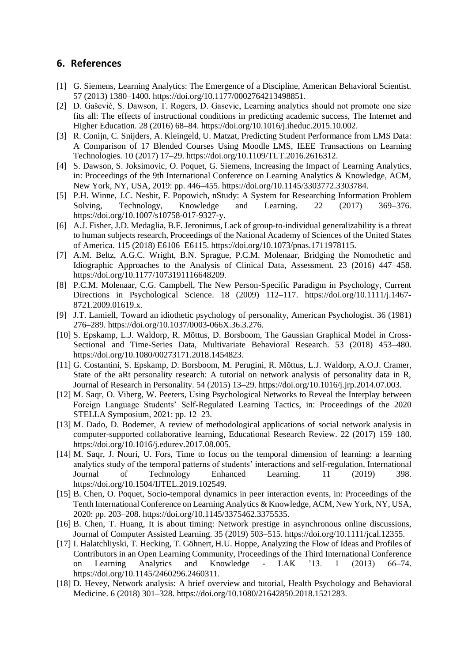# **6. References**

- [1] G. Siemens, Learning Analytics: The Emergence of a Discipline, American Behavioral Scientist. 57 (2013) 1380–1400. https://doi.org/10.1177/0002764213498851.
- [2] D. Gašević, S. Dawson, T. Rogers, D. Gasevic, Learning analytics should not promote one size fits all: The effects of instructional conditions in predicting academic success, The Internet and Higher Education. 28 (2016) 68–84. https://doi.org/10.1016/j.iheduc.2015.10.002.
- [3] R. Conijn, C. Snijders, A. Kleingeld, U. Matzat, Predicting Student Performance from LMS Data: A Comparison of 17 Blended Courses Using Moodle LMS, IEEE Transactions on Learning Technologies. 10 (2017) 17–29. https://doi.org/10.1109/TLT.2016.2616312.
- [4] S. Dawson, S. Joksimovic, O. Poquet, G. Siemens, Increasing the Impact of Learning Analytics, in: Proceedings of the 9th International Conference on Learning Analytics & Knowledge, ACM, New York, NY, USA, 2019: pp. 446–455. https://doi.org/10.1145/3303772.3303784.
- [5] P.H. Winne, J.C. Nesbit, F. Popowich, nStudy: A System for Researching Information Problem Solving, Technology, Knowledge and Learning. 22 (2017) 369–376. https://doi.org/10.1007/s10758-017-9327-y.
- [6] A.J. Fisher, J.D. Medaglia, B.F. Jeronimus, Lack of group-to-individual generalizability is a threat to human subjects research, Proceedings of the National Academy of Sciences of the United States of America. 115 (2018) E6106–E6115. https://doi.org/10.1073/pnas.1711978115.
- [7] A.M. Beltz, A.G.C. Wright, B.N. Sprague, P.C.M. Molenaar, Bridging the Nomothetic and Idiographic Approaches to the Analysis of Clinical Data, Assessment. 23 (2016) 447–458. https://doi.org/10.1177/1073191116648209.
- [8] P.C.M. Molenaar, C.G. Campbell, The New Person-Specific Paradigm in Psychology, Current Directions in Psychological Science. 18 (2009) 112–117. https://doi.org/10.1111/j.1467- 8721.2009.01619.x.
- [9] J.T. Lamiell, Toward an idiothetic psychology of personality, American Psychologist. 36 (1981) 276–289. https://doi.org/10.1037/0003-066X.36.3.276.
- [10] S. Epskamp, L.J. Waldorp, R. Mõttus, D. Borsboom, The Gaussian Graphical Model in Cross-Sectional and Time-Series Data, Multivariate Behavioral Research. 53 (2018) 453–480. https://doi.org/10.1080/00273171.2018.1454823.
- [11] G. Costantini, S. Epskamp, D. Borsboom, M. Perugini, R. Mõttus, L.J. Waldorp, A.O.J. Cramer, State of the aRt personality research: A tutorial on network analysis of personality data in R, Journal of Research in Personality. 54 (2015) 13–29. https://doi.org/10.1016/j.jrp.2014.07.003.
- [12] M. Saqr, O. Viberg, W. Peeters, Using Psychological Networks to Reveal the Interplay between Foreign Language Students' Self-Regulated Learning Tactics, in: Proceedings of the 2020 STELLA Symposium, 2021: pp. 12–23.
- [13] M. Dado, D. Bodemer, A review of methodological applications of social network analysis in computer-supported collaborative learning, Educational Research Review. 22 (2017) 159–180. https://doi.org/10.1016/j.edurev.2017.08.005.
- [14] M. Saqr, J. Nouri, U. Fors, Time to focus on the temporal dimension of learning: a learning analytics study of the temporal patterns of students' interactions and self-regulation, International Journal of Technology Enhanced Learning. 11 (2019) 398. https://doi.org/10.1504/IJTEL.2019.102549.
- [15] B. Chen, O. Poquet, Socio-temporal dynamics in peer interaction events, in: Proceedings of the Tenth International Conference on Learning Analytics & Knowledge, ACM, New York, NY, USA, 2020: pp. 203–208. https://doi.org/10.1145/3375462.3375535.
- [16] B. Chen, T. Huang, It is about timing: Network prestige in asynchronous online discussions, Journal of Computer Assisted Learning. 35 (2019) 503–515. https://doi.org/10.1111/jcal.12355.
- [17] I. Halatchliyski, T. Hecking, T. Göhnert, H.U. Hoppe, Analyzing the Flow of Ideas and Profiles of Contributors in an Open Learning Community, Proceedings of the Third International Conference on Learning Analytics and Knowledge - LAK '13. 1 (2013) 66–74. https://doi.org/10.1145/2460296.2460311.
- [18] D. Hevey, Network analysis: A brief overview and tutorial, Health Psychology and Behavioral Medicine. 6 (2018) 301–328. https://doi.org/10.1080/21642850.2018.1521283.